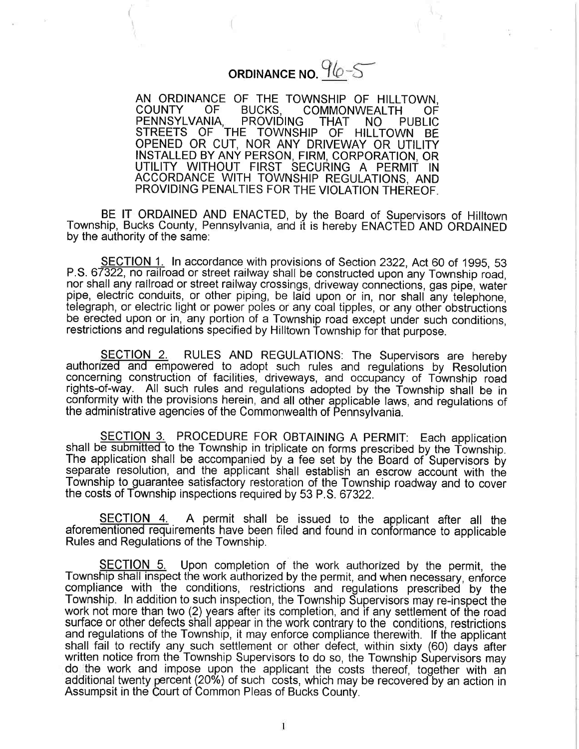## ORDINANCE NO.  $96-5$

AN ORDINANCE OF THE TOWNSHIP OF HILLTOWN,<br>COUNTY OF BUCKS, COMMONWEALTH OF COMMONWEALTH OF PENNSYLVANIA, PROVIDING THAT NO PUBLI STREETS OF THE TOWNSHIP OF HILLTOWN BE OPENED OR CUT, NOR ANY DRIVEWAY OR UTILIT INSTALLED BY ANY PERSON, FIRM, CORPORATION, OR UTILITY WITHOUT FIRST SECURING A PERMIT IN ACCORDANCE WITH TOWNSHIP REGULATIONS, AND PROVIDING PENALTIES FOR THE VIOLATION THEREOF.

BE IT ORDAINED AND ENACTED, by the Board of Supervisors of Hilltown Township, Bucks County, Pennsylvania, and it is hereby ENACTED AND ORDAINED by the authority of the same:

SECTION 1. In accordance with provisions of Section 2322, Act 60 of 1995, 53 p.s. 67322, no railroad or street railway shall be constructed upon any Township road, nor shall any railroad or street railway crossings, driveway connections, gas pipe, water pipe, electric conduits, or other piping, be laid upon or in, nor shall any telephone, telegraph, or electric light or power poles or any coal tipples, or any other obstructions be erected upon or in, any portion of a Township road except under such conditions, restrictions and regulations specified by Hilltown Township for that purpose.

SECTION 2. RULES AND REGULATIONS: The Supervisors are hereby authorized and empowered to adopt such rules and regulations by Resolution concerning construction of facilities, driveways, and occupancy of Township road rights-of-way. All such rules and regulations adopted by the Township shall be in conformity with the provisions herein, and all other applicable laws, and regulations of the administrative agencies of the Commonwealth of Pennsylvania.

SECTION 3. PROCEDURE FOR OBTAINING A PERMIT: Each application shall be submitted to the Township in triplicate on forms prescribed by the Township. The application shall be accompanied by a fee set by the Board of Supervisors by separate resolution, and the applicant shall establish an escrow account with the Township to guarantee satisfactory restoration of the Township roadway and to cover the costs of Township inspections required by 53 P.S. 67322.

SECTION 4. A permit shall be issued to the applicant after all the aforementioned requirements have been filed and found in conformance to applicable Rules and Regulations of the Township.

SECTION 5. Upon completion of the work authorized by the permit, the Township shall inspect the work authorized by the permit, and when necessary, enforce compliance with the conditions, restrictions and regulations prescribed by the Township. In addition to such inspection, the Township Supervisors may re-inspect the work not more than two (2) years after its completion, and if any settlement of the road surface or other defects shall appear in the work contrary to the conditions, restrictions and regulations of the Township, it may enforce compliance therewith. If the applicant shall fail to rectify any such settlement or other defect, within sixty (60) days after written notice from the Township Supervisors to do so, the Township Supervisors may do,'the work and impose upon the applicant the costs thereof, together with an additional twenty percent (20%) of such costs, which may be recovered by an action in Assumpsit in the Court of Common Pleas of Bucks County.